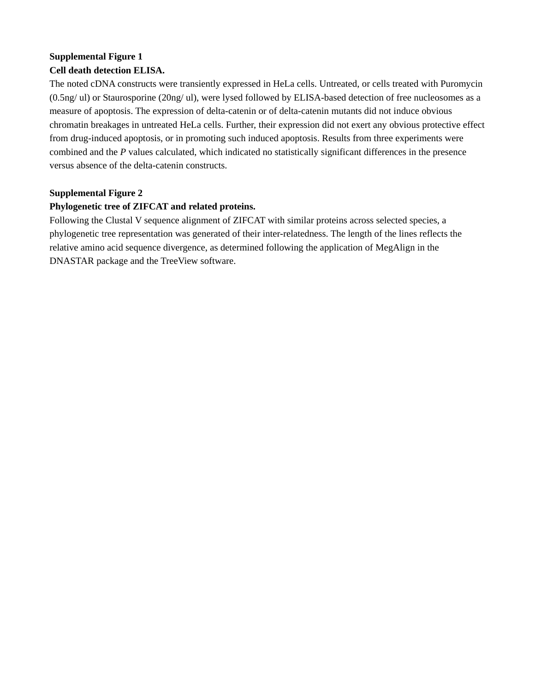## **Supplemental Figure 1 Cell death detection ELISA.**

The noted cDNA constructs were transiently expressed in HeLa cells. Untreated, or cells treated with Puromycin (0.5ng/ ul) or Staurosporine (20ng/ ul), were lysed followed by ELISA-based detection of free nucleosomes as a measure of apoptosis. The expression of delta-catenin or of delta-catenin mutants did not induce obvious chromatin breakages in untreated HeLa cells. Further, their expression did not exert any obvious protective effect from drug-induced apoptosis, or in promoting such induced apoptosis. Results from three experiments were combined and the *P* values calculated, which indicated no statistically significant differences in the presence versus absence of the delta-catenin constructs.

## **Supplemental Figure 2**

## **Phylogenetic tree of ZIFCAT and related proteins.**

Following the Clustal V sequence alignment of ZIFCAT with similar proteins across selected species, a phylogenetic tree representation was generated of their inter-relatedness. The length of the lines reflects the relative amino acid sequence divergence, as determined following the application of MegAlign in the DNASTAR package and the TreeView software.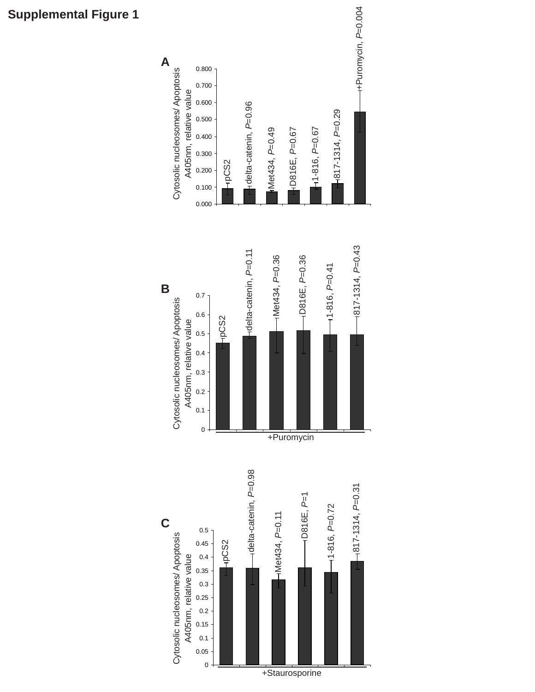

## **Supplemental Figure 1**